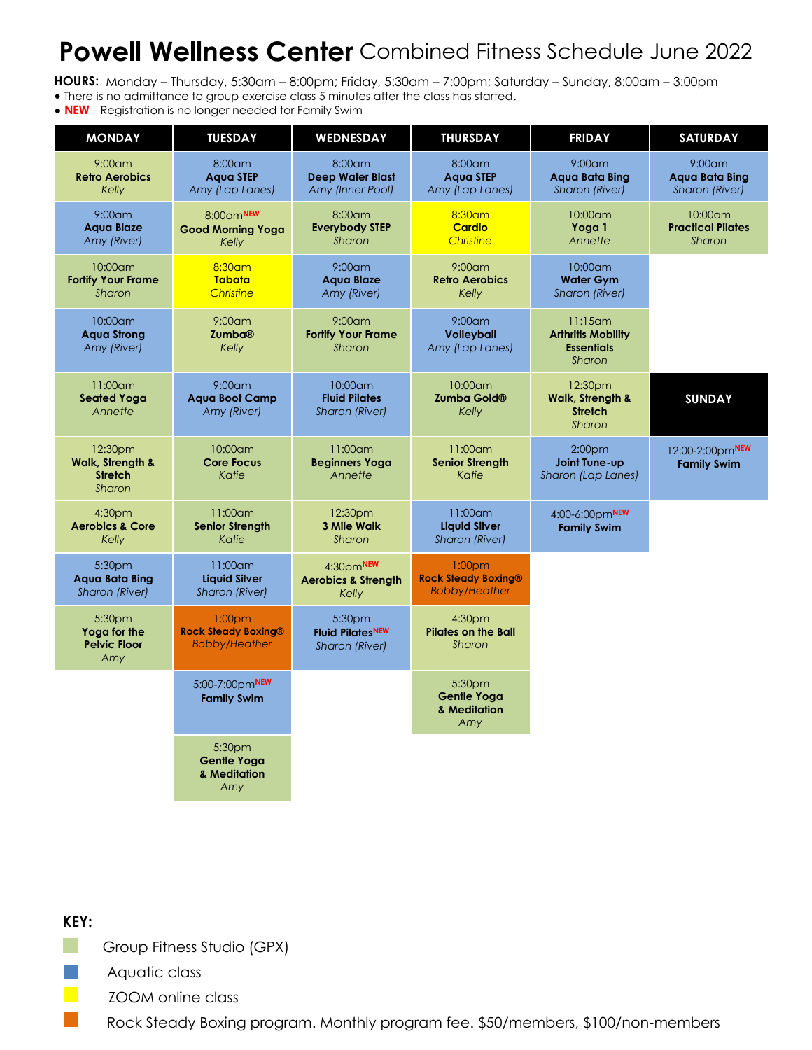## **Powell Wellness Center** Combined Fitness Schedule June 2022

**HOURS:** Monday – Thursday, 5:30am – 8:00pm; Friday, 5:30am – 7:00pm; Saturday – Sunday, 8:00am – 3:00pm

- There is no admittance to group exercise class 5 minutes after the class has started.
- **NEW**—Registration is no longer needed for Family Swim

| <b>MONDAY</b>                                                      | <b>TUESDAY</b>                                                           | <b>WEDNESDAY</b>                                         | <b>THURSDAY</b>                                                          | <b>FRIDAY</b>                                                          | <b>SATURDAY</b>                                      |
|--------------------------------------------------------------------|--------------------------------------------------------------------------|----------------------------------------------------------|--------------------------------------------------------------------------|------------------------------------------------------------------------|------------------------------------------------------|
| $9:00$ am<br><b>Retro Aerobics</b><br>Kelly                        | 8:00am<br><b>Aaua STEP</b><br>Amy (Lap Lanes)                            | 8:00am<br><b>Deep Water Blast</b><br>Amy (Inner Pool)    | 8:00am<br><b>Aaua STEP</b><br>Amy (Lap Lanes)                            | $9:00$ am<br><b>Agua Bata Bing</b><br>Sharon (River)                   | $9:00$ am<br><b>Agua Bata Bing</b><br>Sharon (River) |
| $9:00$ am<br><b>Agua Blaze</b><br>Amy (River)                      | $8:00$ am <sup>NEW</sup><br><b>Good Morning Yoga</b><br>Kelly            | 8:00am<br><b>Everybody STEP</b><br>Sharon                | 8:30am<br><b>Cardio</b><br>Christine                                     | 10:00am<br>Yoga 1<br>Annette                                           | 10:00am<br><b>Practical Pilates</b><br>Sharon        |
| 10:00am<br><b>Fortify Your Frame</b><br>Sharon                     | 8:30am<br><b>Tabata</b><br>Christine                                     | $9:00$ am<br><b>Agua Blaze</b><br>Amy (River)            | $9:00$ am<br><b>Retro Aerobics</b><br>Kelly                              | 10:00am<br><b>Water Gym</b><br>Sharon (River)                          |                                                      |
| $10:00$ am<br><b>Agua Strong</b><br>Amy (River)                    | $9:00$ am<br><b>Zumba®</b><br>Kelly                                      | $9:00$ am<br><b>Fortify Your Frame</b><br>Sharon         | $9:00$ am<br><b>Volleyball</b><br>Amy (Lap Lanes)                        | $11:15$ am<br><b>Arthritis Mobility</b><br><b>Essentials</b><br>Sharon |                                                      |
| 11:00am<br><b>Seated Yoga</b><br>Annette                           | $9:00$ am<br><b>Aqua Boot Camp</b><br>Amy (River)                        | 10:00am<br><b>Fluid Pilates</b><br><b>Sharon (River)</b> | 10:00am<br><b>Zumba Gold®</b><br>Kelly                                   | 12:30pm<br><b>Walk, Strength &amp;</b><br><b>Stretch</b><br>Sharon     | <b>SUNDAY</b>                                        |
| 12:30pm<br><b>Walk, Strength &amp;</b><br><b>Stretch</b><br>Sharon | 10:00am<br><b>Core Focus</b><br>Katie                                    | $11:00$ am<br><b>Beginners Yoga</b><br>Annette           | $11:00$ am<br><b>Senior Strength</b><br>Katie                            | 2:00 <sub>pm</sub><br>Joint Tune-up<br>Sharon (Lap Lanes)              | 12:00-2:00pmNEW<br><b>Family Swim</b>                |
| 4:30pm<br><b>Aerobics &amp; Core</b><br>Kelly                      | 11:00am<br><b>Senior Strength</b><br>Katie                               | 12:30pm<br>3 Mile Walk<br>Sharon                         | $11:00$ am<br><b>Liquid Silver</b><br>Sharon (River)                     | 4:00-6:00pmNEW<br><b>Family Swim</b>                                   |                                                      |
| 5:30pm<br>Agua Bata Bing<br><b>Sharon (River)</b>                  | $11:00$ am<br><b>Liquid Silver</b><br>Sharon (River)                     | 4:30pmNEW<br><b>Aerobics &amp; Strength</b><br>Kelly     | 1:00 <sub>pm</sub><br><b>Rock Steady Boxing®</b><br><b>Bobby/Heather</b> |                                                                        |                                                      |
| 5:30pm<br>Yoga for the<br><b>Pelvic Floor</b><br>Amy               | 1:00 <sub>pm</sub><br><b>Rock Steady Boxing®</b><br><b>Bobby/Heather</b> | 5:30pm<br><b>Fluid PilatesNEW</b><br>Sharon (River)      | 4:30 <sub>pm</sub><br><b>Pilates on the Ball</b><br>Sharon               |                                                                        |                                                      |
|                                                                    | 5:00-7:00pmNEW<br><b>Family Swim</b>                                     |                                                          | 5:30 <sub>pm</sub><br><b>Gentle Yoga</b><br>& Meditation<br>Amy          |                                                                        |                                                      |
|                                                                    | 5:30pm<br><b>Gentle Yoga</b><br>& Meditation<br>Amy                      |                                                          |                                                                          |                                                                        |                                                      |